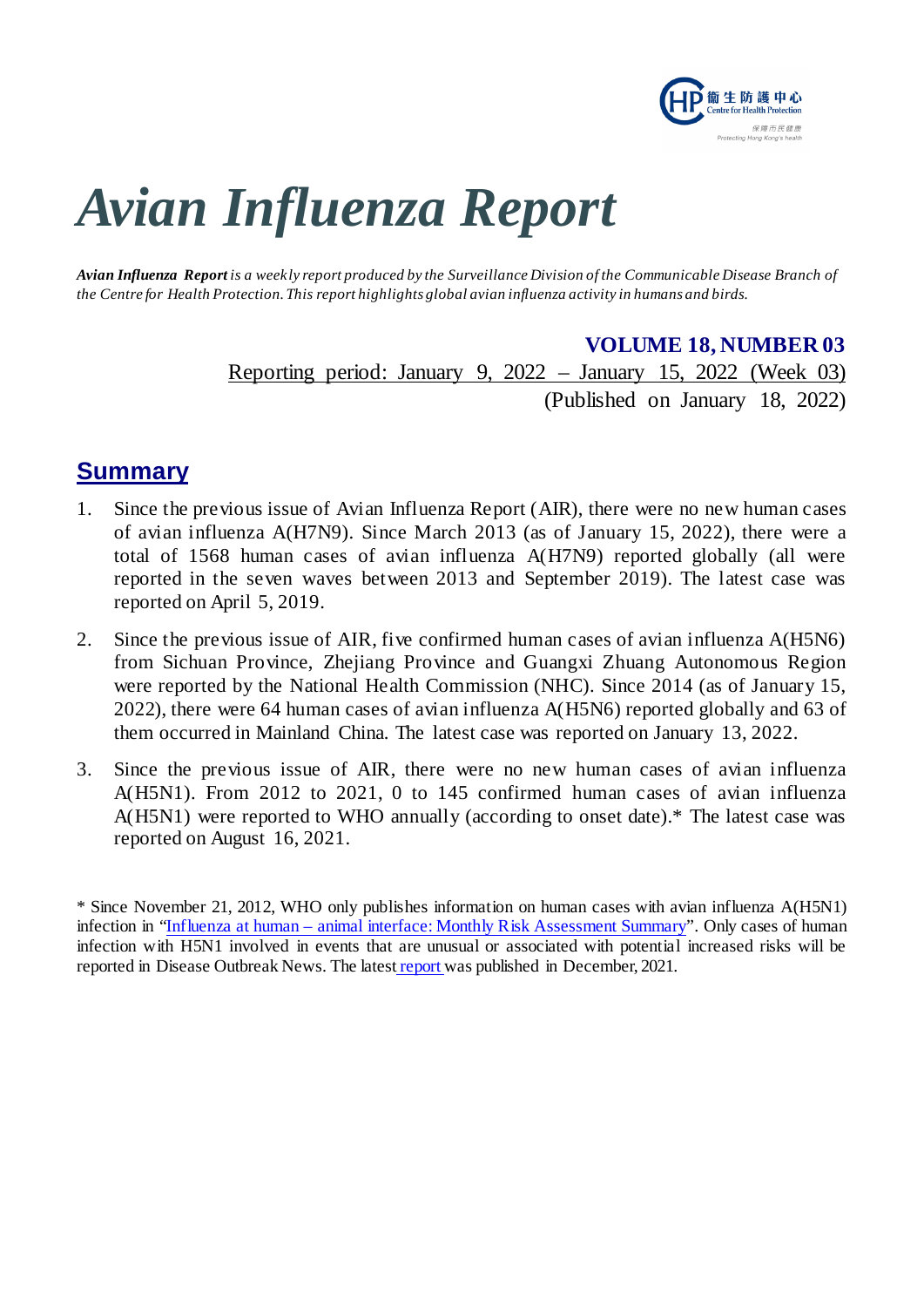

# *Avian Influenza Report*

*Avian Influenza Report is a weekly report produced by the Surveillance Division of the Communicable Disease Branch of the Centre for Health Protection. This report highlights global avian influenza activity in humans and birds.*

#### **VOLUME 18, NUMBER 03**

Reporting period: January 9, 2022 – January 15, 2022 (Week 03) (Published on January 18, 2022)

# **Summary**

- 1. Since the previous issue of Avian Influenza Report (AIR), there were no new human cases of avian influenza A(H7N9). Since March 2013 (as of January 15, 2022), there were a total of 1568 human cases of avian influenza A(H7N9) reported globally (all were reported in the seven waves between 2013 and September 2019). The latest case was reported on April 5, 2019.
- 2. Since the previous issue of AIR, five confirmed human cases of avian influenza A(H5N6) from Sichuan Province, Zhejiang Province and Guangxi Zhuang Autonomous Region were reported by the National Health Commission (NHC). Since 2014 (as of January 15, 2022), there were 64 human cases of avian influenza A(H5N6) reported globally and 63 of them occurred in Mainland China. The latest case was reported on January 13, 2022.
- 3. Since the previous issue of AIR, there were no new human cases of avian influenza A(H5N1). From 2012 to 2021, 0 to 145 confirmed human cases of avian influenza A(H5N1) were reported to WHO annually (according to onset date).\* The latest case was reported on August 16, 2021.

<sup>\*</sup> Since November 21, 2012, WHO only publishes information on human cases with avian influenza A(H5N1) infection in "Influenza at human – [animal interface: Monthly Risk Assessment Summary"](https://www.who.int/teams/global-influenza-programme/avian-influenza/monthly-risk-assessment-summary). Only cases of human infection with H5N1 involved in events that are unusual or associated with potential increased risks will be reported in Disease Outbreak News. The latest [report](https://www.who.int/publications/m/item/influenza-at-the-human-animal-interface-summary-and-assessment-13-december-2021) was published in December, 2021.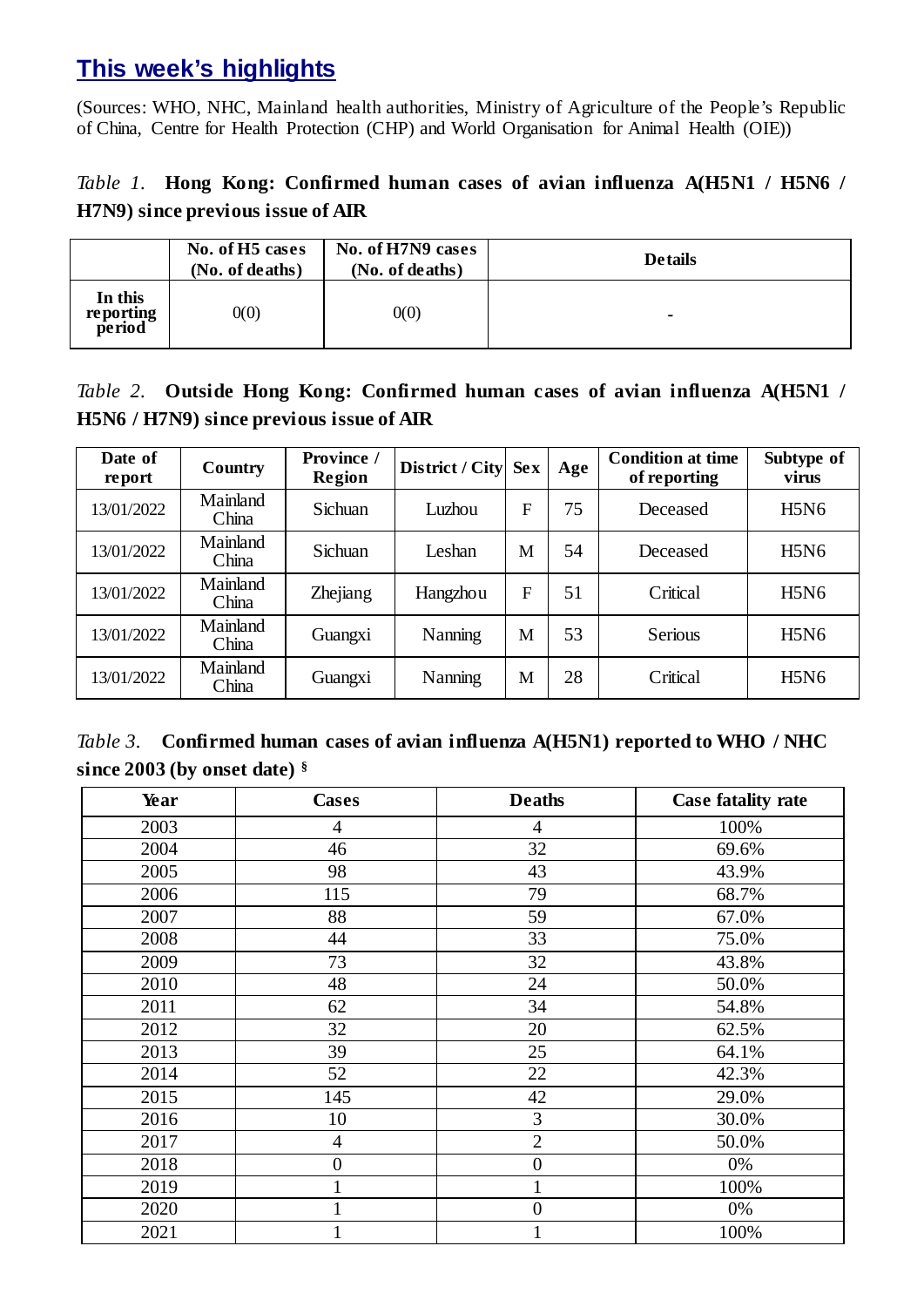# **This week's highlights**

(Sources: WHO, NHC, Mainland health authorities, Ministry of Agriculture of the People's Republic of China, Centre for Health Protection (CHP) and World Organisation for Animal Health (OIE))

## *Table 1.* **Hong Kong: Confirmed human cases of avian influenza A(H5N1 / H5N6 / H7N9) since previous issue of AIR**

|                                | No. of H <sub>5</sub> cases<br>(No. of deaths) | No. of H7N9 cases<br>(No. of deaths) | <b>Details</b> |
|--------------------------------|------------------------------------------------|--------------------------------------|----------------|
| In this<br>reporting<br>period | 0(0)                                           | 0(0)                                 | ۰              |

## *Table 2.* **Outside Hong Kong: Confirmed human cases of avian influenza A(H5N1 / H5N6 / H7N9) since previous issue of AIR**

| Date of<br>report | Country           | <b>Province</b> /<br>Region | District / City Sex |   | Age | <b>Condition at time</b><br>of reporting | Subtype of<br>virus |
|-------------------|-------------------|-----------------------------|---------------------|---|-----|------------------------------------------|---------------------|
| 13/01/2022        | Mainland<br>China | <b>Sichuan</b>              | Luzhou              | F | 75  | Deceased                                 | H5N6                |
| 13/01/2022        | Mainland<br>China | <b>Sichuan</b>              | Leshan              | M | 54  | Deceased                                 | <b>H5N6</b>         |
| 13/01/2022        | Mainland<br>China | <b>Zhejiang</b>             | Hangzhou            | F | 51  | Critical                                 | H5N6                |
| 13/01/2022        | Mainland<br>China | Guangxi                     | <b>Nanning</b>      | M | 53  | Serious                                  | <b>H5N6</b>         |
| 13/01/2022        | Mainland<br>China | Guangxi                     | Nanning             | M | 28  | Critical                                 | <b>H5N6</b>         |

| Table 3. Confirmed human cases of avian influenza A(H5N1) reported to WHO / NHC |  |  |
|---------------------------------------------------------------------------------|--|--|
| since 2003 (by onset date) $\frac{8}{3}$                                        |  |  |

| Year | <b>Cases</b>     | <b>Deaths</b>    | Case fatality rate |
|------|------------------|------------------|--------------------|
| 2003 | $\overline{4}$   | $\overline{4}$   | 100%               |
| 2004 | 46               | 32               | 69.6%              |
| 2005 | 98               | 43               | 43.9%              |
| 2006 | 115              | 79               | 68.7%              |
| 2007 | 88               | 59               | 67.0%              |
| 2008 | 44               | 33               | 75.0%              |
| 2009 | 73               | 32               | 43.8%              |
| 2010 | 48               | 24               | 50.0%              |
| 2011 | 62               | 34               | 54.8%              |
| 2012 | 32               | 20               | 62.5%              |
| 2013 | 39               | 25               | 64.1%              |
| 2014 | 52               | 22               | 42.3%              |
| 2015 | 145              | 42               | 29.0%              |
| 2016 | 10               | 3                | 30.0%              |
| 2017 | $\overline{4}$   | $\overline{2}$   | 50.0%              |
| 2018 | $\boldsymbol{0}$ | $\boldsymbol{0}$ | 0%                 |
| 2019 | 1                | 1                | 100%               |
| 2020 |                  | $\boldsymbol{0}$ | 0%                 |
| 2021 |                  | 1                | 100%               |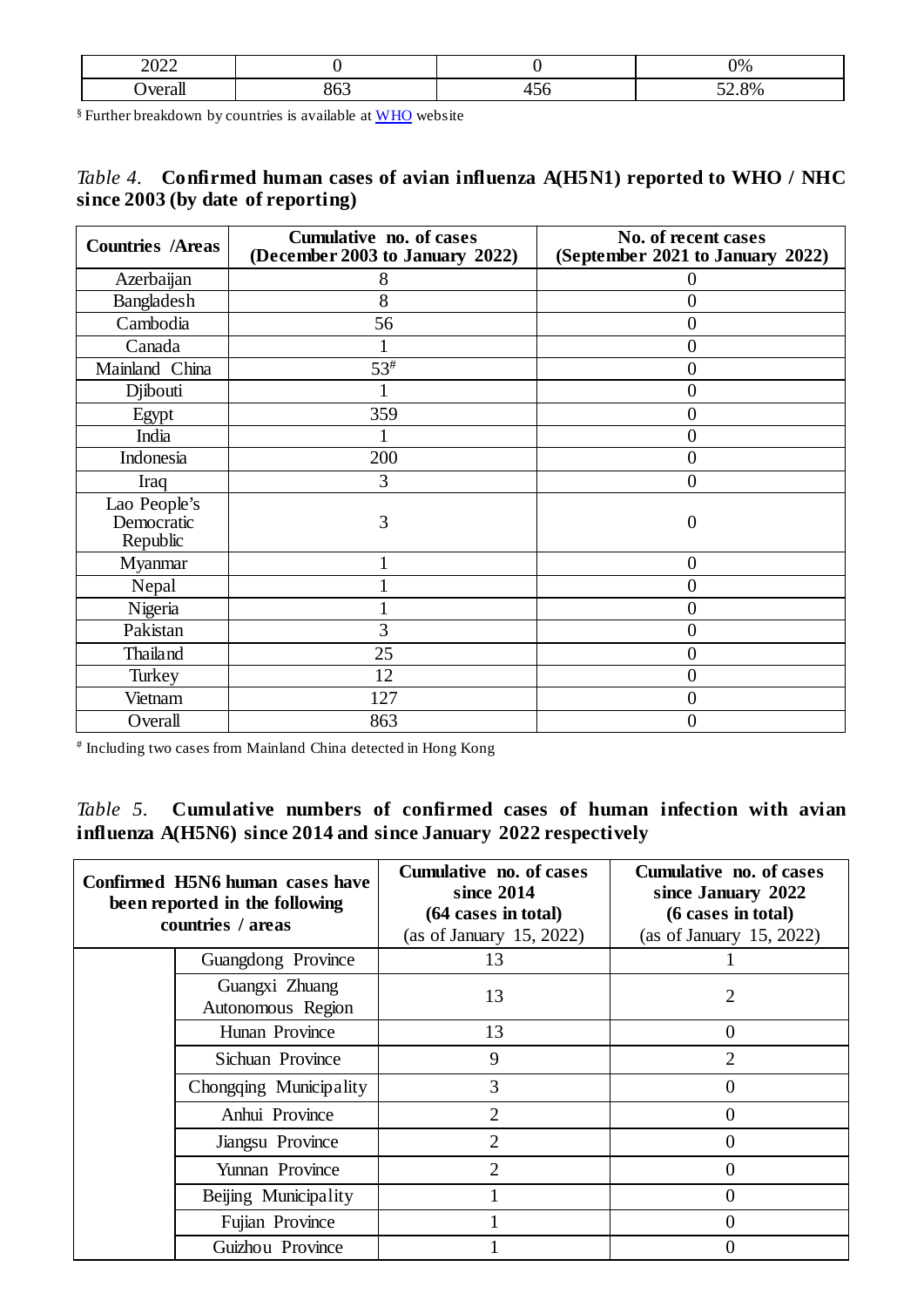| $\sim$ $\sim$<br>$\overline{\phantom{a}}$ |            | $\gamma$ %                |
|-------------------------------------------|------------|---------------------------|
| NPT                                       | - -<br>70. | റപ<br>$'$ V <sub>ic</sub> |

§ Further breakdown by countries is available at [WHO](https://www.who.int/publications/m/item/cumulative-number-of-confirmed-human-cases-for-avian-influenza-a(h5n1)-reported-to-who-2003-2021-13-december-2021) website

| <i>Table 4.</i> Confirmed human cases of avian influenza A(H5N1) reported to WHO / NHC |  |  |
|----------------------------------------------------------------------------------------|--|--|
| since 2003 (by date of reporting)                                                      |  |  |

| <b>Countries /Areas</b>                | Cumulative no. of cases<br>(December 2003 to January 2022) | No. of recent cases<br>(September 2021 to January 2022) |
|----------------------------------------|------------------------------------------------------------|---------------------------------------------------------|
| Azerbaijan                             | 8                                                          | $\Omega$                                                |
| Bangladesh                             | 8                                                          |                                                         |
| Cambodia                               | 56                                                         | $\overline{0}$                                          |
| Canada                                 |                                                            | $\overline{0}$                                          |
| Mainland China                         | 53#                                                        | $\overline{0}$                                          |
| Djibouti                               |                                                            | 0                                                       |
| Egypt                                  | 359                                                        | $\theta$                                                |
| India                                  |                                                            | $\overline{0}$                                          |
| Indonesia                              | 200                                                        | $\theta$                                                |
| Iraq                                   | 3                                                          | $\boldsymbol{0}$                                        |
| Lao People's<br>Democratic<br>Republic | 3                                                          | $\theta$                                                |
| Myanmar                                |                                                            | 0                                                       |
| Nepal                                  |                                                            | $\theta$                                                |
| Nigeria                                |                                                            | $\theta$                                                |
| Pakistan                               | 3                                                          | $\overline{0}$                                          |
| <b>Thailand</b>                        | 25                                                         | $\overline{0}$                                          |
| Turkey                                 | 12                                                         | $\overline{0}$                                          |
| Vietnam                                | 127                                                        | $\overline{0}$                                          |
| Overall                                | 863                                                        | $\Omega$                                                |

# Including two cases from Mainland China detected in Hong Kong

### *Table 5.* **Cumulative numbers of confirmed cases of human infection with avian influenza A(H5N6) since 2014 and since January 2022 respectively**

| Confirmed H5N6 human cases have<br>been reported in the following<br>countries / areas |                                     | Cumulative no. of cases<br>since 2014<br>(64 cases in total)<br>(as of January $15, 2022$ ) | Cumulative no. of cases<br>since January 2022<br>(6 cases in total)<br>(as of January 15, 2022) |
|----------------------------------------------------------------------------------------|-------------------------------------|---------------------------------------------------------------------------------------------|-------------------------------------------------------------------------------------------------|
|                                                                                        | Guangdong Province                  | 13                                                                                          |                                                                                                 |
|                                                                                        | Guangxi Zhuang<br>Autonomous Region | 13                                                                                          |                                                                                                 |
|                                                                                        | Hunan Province                      | 13                                                                                          | 0                                                                                               |
|                                                                                        | Sichuan Province                    | 9                                                                                           |                                                                                                 |
|                                                                                        | Chongqing Municipality              | 3                                                                                           |                                                                                                 |
|                                                                                        | Anhui Province                      | $\overline{2}$                                                                              |                                                                                                 |
|                                                                                        | Jiangsu Province                    | $\overline{2}$                                                                              |                                                                                                 |
|                                                                                        | Yunnan Province                     | $\overline{2}$                                                                              |                                                                                                 |
|                                                                                        | Beijing Municipality                |                                                                                             |                                                                                                 |
|                                                                                        | Fujian Province                     |                                                                                             |                                                                                                 |
|                                                                                        | Guizhou Province                    |                                                                                             |                                                                                                 |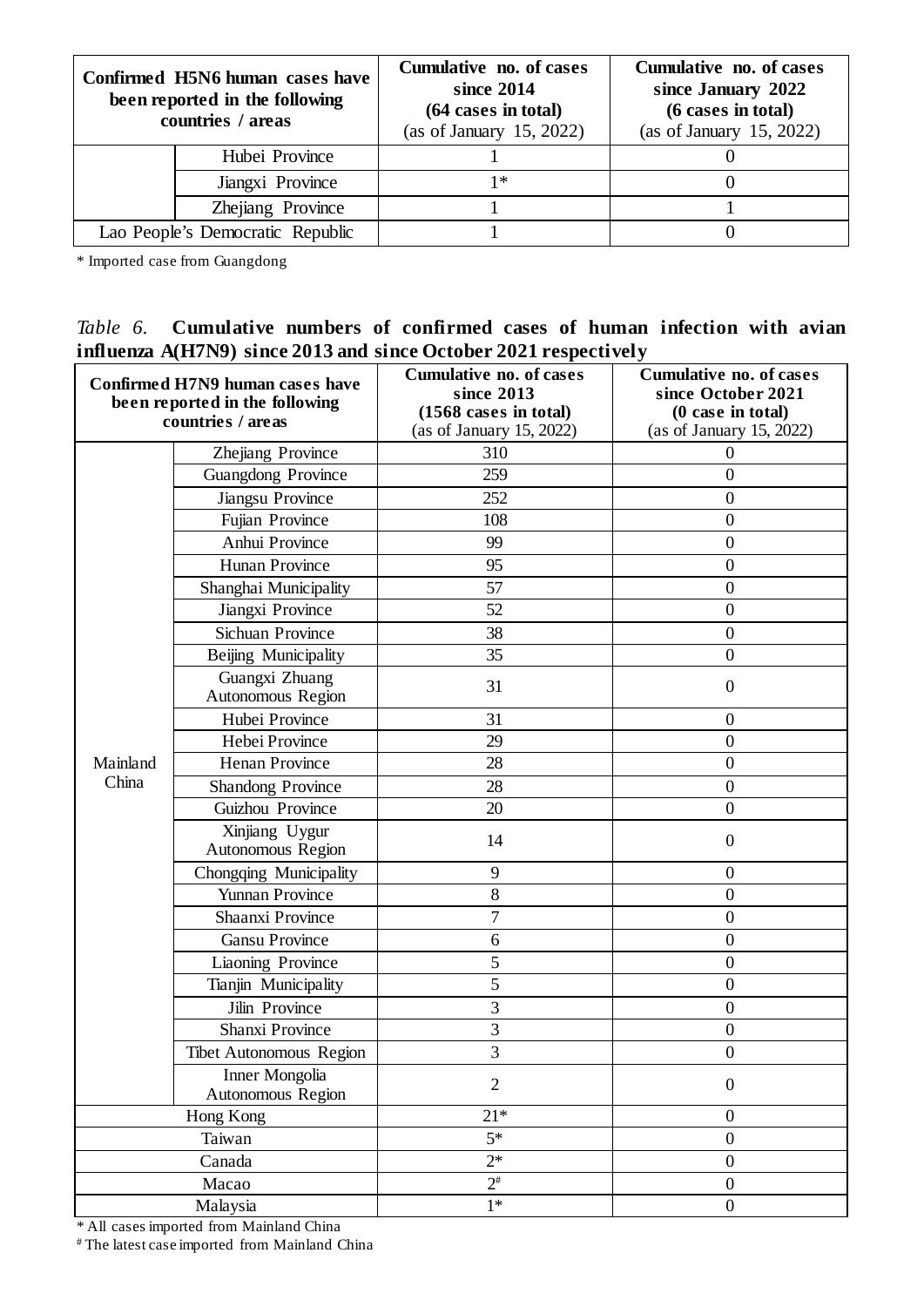|                                  | Confirmed H5N6 human cases have<br>been reported in the following<br>countries / areas | Cumulative no. of cases<br>since 2014<br>(64 cases in total)<br>(as of January 15, 2022) | Cumulative no. of cases<br>since January 2022<br>(6 cases in total)<br>(as of January $15, 2022$ ) |
|----------------------------------|----------------------------------------------------------------------------------------|------------------------------------------------------------------------------------------|----------------------------------------------------------------------------------------------------|
|                                  | Hubei Province                                                                         |                                                                                          |                                                                                                    |
|                                  | Jiangxi Province                                                                       | 1 *                                                                                      |                                                                                                    |
|                                  | Zhejiang Province                                                                      |                                                                                          |                                                                                                    |
| Lao People's Democratic Republic |                                                                                        |                                                                                          |                                                                                                    |

\* Imported case from Guangdong

#### *Table 6.* **Cumulative numbers of confirmed cases of human infection with avian influenza A(H7N9) since 2013 and since October 2021 respectively**

|          | Confirmed H7N9 human cases have<br>been reported in the following<br>countries / areas | <b>Cumulative no. of cases</b><br>since 2013<br>(1568 cases in total)<br>(as of January 15, 2022) | <b>Cumulative no. of cases</b><br>since October 2021<br>$(0 \text{ case in total})$<br>(as of January 15, 2022) |
|----------|----------------------------------------------------------------------------------------|---------------------------------------------------------------------------------------------------|-----------------------------------------------------------------------------------------------------------------|
|          | Zhejiang Province                                                                      | 310                                                                                               | $\mathbf{0}$                                                                                                    |
|          | Guangdong Province                                                                     | 259                                                                                               | $\overline{0}$                                                                                                  |
|          | Jiangsu Province                                                                       | 252                                                                                               | $\overline{0}$                                                                                                  |
|          | Fujian Province                                                                        | 108                                                                                               | $\mathbf{0}$                                                                                                    |
|          | Anhui Province                                                                         | 99                                                                                                | $\mathbf{0}$                                                                                                    |
|          | <b>Hunan Province</b>                                                                  | 95                                                                                                | $\mathbf{0}$                                                                                                    |
|          | Shanghai Municipality                                                                  | 57                                                                                                | $\boldsymbol{0}$                                                                                                |
|          | Jiangxi Province                                                                       | 52                                                                                                | $\boldsymbol{0}$                                                                                                |
|          | <b>Sichuan Province</b>                                                                | 38                                                                                                | $\mathbf{0}$                                                                                                    |
|          | Beijing Municipality                                                                   | 35                                                                                                | $\boldsymbol{0}$                                                                                                |
|          | Guangxi Zhuang<br>Autonomous Region                                                    | 31                                                                                                | $\boldsymbol{0}$                                                                                                |
|          | Hubei Province                                                                         | 31                                                                                                | $\overline{0}$                                                                                                  |
|          | Hebei Province                                                                         | 29                                                                                                | $\mathbf{0}$                                                                                                    |
| Mainland | Henan Province                                                                         | 28                                                                                                | $\boldsymbol{0}$                                                                                                |
| China    | <b>Shandong Province</b>                                                               | 28                                                                                                | $\boldsymbol{0}$                                                                                                |
|          | Guizhou Province                                                                       | 20                                                                                                | $\boldsymbol{0}$                                                                                                |
|          | Xinjiang Uygur<br>Autonomous Region                                                    | 14                                                                                                | $\mathbf{0}$                                                                                                    |
|          | Chongqing Municipality                                                                 | 9                                                                                                 | $\mathbf{0}$                                                                                                    |
|          | <b>Yunnan Province</b>                                                                 | 8                                                                                                 | $\boldsymbol{0}$                                                                                                |
|          | Shaanxi Province                                                                       | $\overline{7}$                                                                                    | $\boldsymbol{0}$                                                                                                |
|          | <b>Gansu Province</b>                                                                  | 6                                                                                                 | $\boldsymbol{0}$                                                                                                |
|          | Liaoning Province                                                                      | 5                                                                                                 | $\boldsymbol{0}$                                                                                                |
|          | Tianjin Municipality                                                                   | 5                                                                                                 | $\mathbf{0}$                                                                                                    |
|          | Jilin Province                                                                         | 3                                                                                                 | $\boldsymbol{0}$                                                                                                |
|          | Shanxi Province                                                                        | 3                                                                                                 | $\overline{0}$                                                                                                  |
|          | Tibet Autonomous Region                                                                | $\overline{3}$                                                                                    | $\boldsymbol{0}$                                                                                                |
|          | Inner Mongolia<br>Autonomous Region                                                    | $\mathfrak{2}$                                                                                    | $\boldsymbol{0}$                                                                                                |
|          | Hong Kong                                                                              | $21*$                                                                                             | $\boldsymbol{0}$                                                                                                |
|          | Taiwan                                                                                 | $5*$                                                                                              | $\boldsymbol{0}$                                                                                                |
|          | Canada                                                                                 | $2*$                                                                                              | $\boldsymbol{0}$                                                                                                |
|          | Macao                                                                                  | $2^{\#}$                                                                                          | $\boldsymbol{0}$                                                                                                |
|          | Malaysia                                                                               | $1*$                                                                                              | $\boldsymbol{0}$                                                                                                |

\* All cases imported from Mainland China

# The latest case imported from Mainland China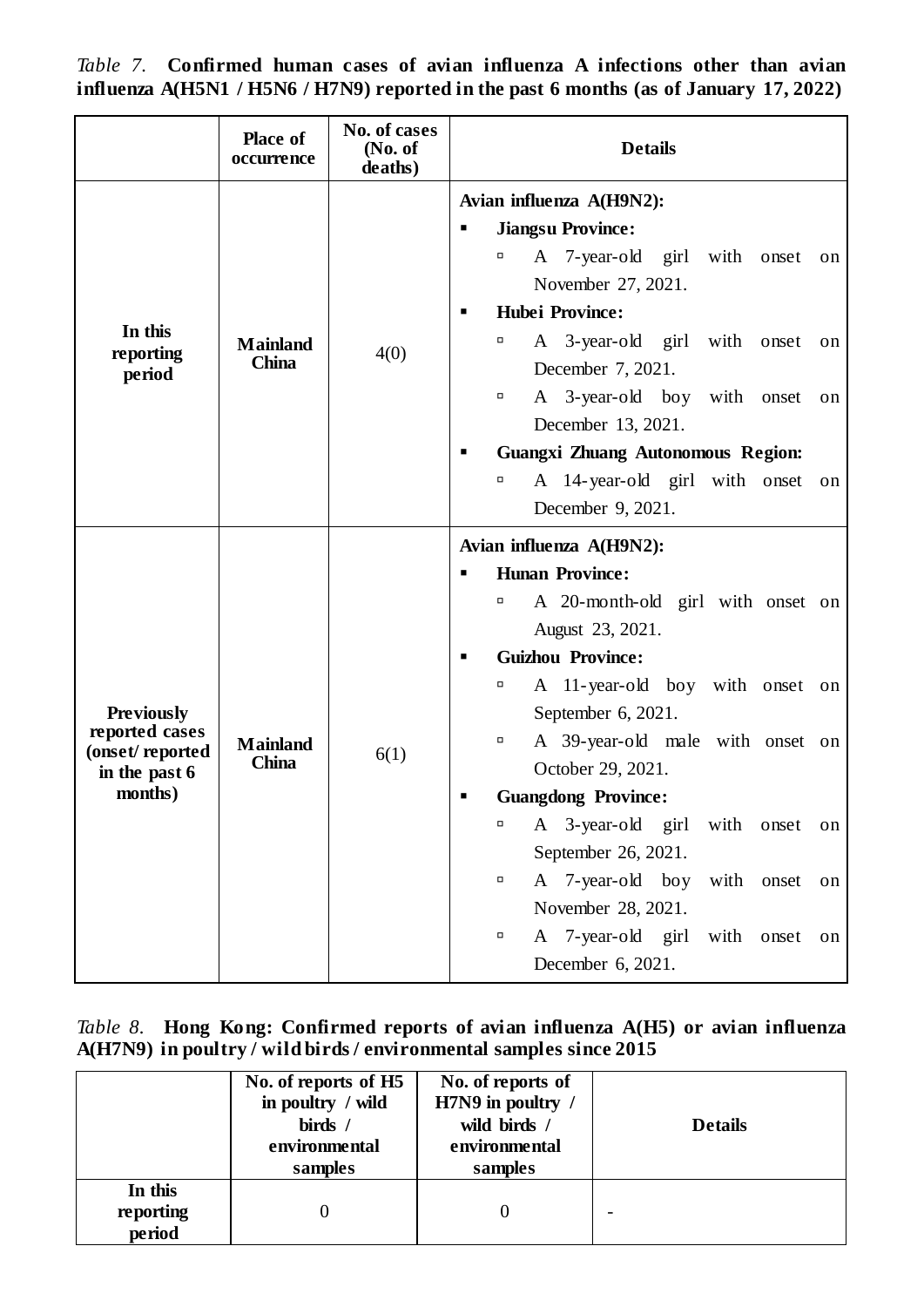|                                   | <b>Place of</b><br>occurrence | No. of cases<br>(No. of<br>deaths) | <b>Details</b>                                |  |  |  |
|-----------------------------------|-------------------------------|------------------------------------|-----------------------------------------------|--|--|--|
|                                   |                               |                                    | Avian influenza A(H9N2):                      |  |  |  |
|                                   |                               |                                    | <b>Jiangsu Province:</b>                      |  |  |  |
|                                   |                               |                                    | A 7-year-old girl with onset<br>α<br>on       |  |  |  |
|                                   |                               |                                    | November 27, 2021.                            |  |  |  |
|                                   |                               |                                    | <b>Hubei Province:</b><br>п                   |  |  |  |
| In this                           | <b>Mainland</b>               |                                    | A 3-year-old girl with onset<br>о<br>on       |  |  |  |
| reporting<br>period               | <b>China</b>                  | 4(0)                               | December 7, 2021.                             |  |  |  |
|                                   |                               |                                    | A 3-year-old boy with onset<br>α<br>on        |  |  |  |
|                                   |                               |                                    | December 13, 2021.                            |  |  |  |
|                                   |                               |                                    | <b>Guangxi Zhuang Autonomous Region:</b><br>٠ |  |  |  |
|                                   |                               |                                    | A 14-year-old girl with onset on<br>α         |  |  |  |
|                                   |                               |                                    | December 9, 2021.                             |  |  |  |
|                                   |                               |                                    | Avian influenza A(H9N2):                      |  |  |  |
|                                   |                               |                                    | <b>Hunan Province:</b>                        |  |  |  |
|                                   |                               |                                    | A 20-month-old girl with onset on<br>α        |  |  |  |
|                                   |                               |                                    | August 23, 2021.                              |  |  |  |
|                                   |                               |                                    | <b>Guizhou Province:</b><br>п                 |  |  |  |
|                                   |                               |                                    | A 11-year-old boy with onset on<br>α          |  |  |  |
| <b>Previously</b>                 |                               |                                    | September 6, 2021.                            |  |  |  |
| reported cases<br>(onset/reported | <b>Mainland</b>               | 6(1)                               | A 39-year-old male with onset on<br>α         |  |  |  |
| in the past 6                     | <b>China</b>                  |                                    | October 29, 2021.                             |  |  |  |
| months)                           |                               |                                    | <b>Guangdong Province:</b>                    |  |  |  |
|                                   |                               |                                    | A 3-year-old girl with onset on<br>α          |  |  |  |
|                                   |                               |                                    | September 26, 2021.                           |  |  |  |
|                                   |                               |                                    | A 7-year-old boy with onset<br>α<br>on        |  |  |  |
|                                   |                               |                                    | November 28, 2021.                            |  |  |  |
|                                   |                               |                                    | A 7-year-old girl with onset<br>о<br>on       |  |  |  |
|                                   |                               |                                    | December 6, 2021.                             |  |  |  |

*Table 7.* **Confirmed human cases of avian influenza A infections other than avian influenza A(H5N1 / H5N6 / H7N9) reported in the past 6 months (as of January 17, 2022)**

#### *Table 8.* **Hong Kong: Confirmed reports of avian influenza A(H5) or avian influenza A(H7N9) in poultry / wild birds / environmental samples since 2015**

|                                | No. of reports of H5<br>in poultry / wild<br>birds /<br>environmental<br>samples | No. of reports of<br>H7N9 in poultry /<br>wild birds /<br>environmental<br>samples | <b>Details</b> |
|--------------------------------|----------------------------------------------------------------------------------|------------------------------------------------------------------------------------|----------------|
| In this<br>reporting<br>period |                                                                                  |                                                                                    |                |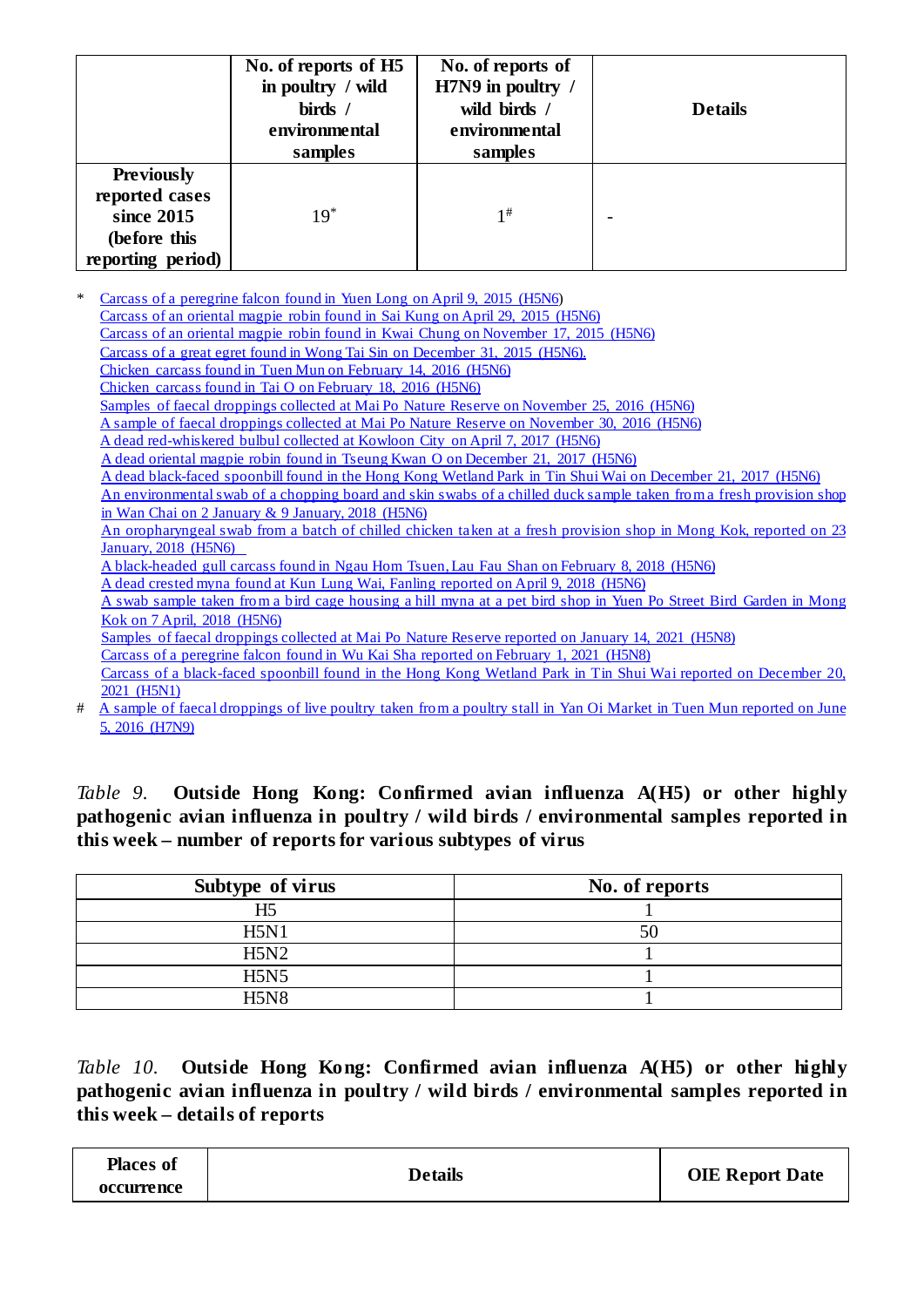|                                                                                        | No. of reports of H5<br>in poultry / wild<br>birds /<br>environmental<br>samples | No. of reports of<br>H7N9 in poultry /<br>wild birds /<br>environmental<br>samples | <b>Details</b> |
|----------------------------------------------------------------------------------------|----------------------------------------------------------------------------------|------------------------------------------------------------------------------------|----------------|
| <b>Previously</b><br>reported cases<br>since 2015<br>(before this<br>reporting period) | $19*$                                                                            | 1#                                                                                 |                |

Carcass [of a peregrine falcon found in Yuen Long](http://www.info.gov.hk/gia/general/201504/16/P201504160731.htm) on April 9, 2015 (H5N6) [Carcass of an oriental magpie robin found in Sai Kung on April 29, 2015 \(H5N6\)](http://www.info.gov.hk/gia/general/201505/05/P201505050329.htm) [Carcass of an oriental magpie robin found in Kwai Chung on November 17, 2015 \(H5N6\)](http://www.info.gov.hk/gia/general/201511/23/P201511230369.htm) [Carcass of a great egret found in Wong Tai Sin](http://www.info.gov.hk/gia/general/201601/05/P201601050710.htm) on December 31, 2015 (H5N6). Chicken carcass found in Tuen Mun [on February 14, 2016](http://www.info.gov.hk/gia/general/201602/19/P201602190497.htm) (H5N6) Chicken carcass found in Tai O [on February 18, 2016 \(H5N6\)](http://www.info.gov.hk/gia/general/201602/23/P201602230570.htm) Samples of faecal droppings collected at Mai Po Nature Reserve [on November 25, 2016 \(H5N6\)](http://www.info.gov.hk/gia/general/201612/05/P2016120500911.htm) [A sample of faecal droppings collected at Mai Po Nature Reserve on November 30, 2016 \(H5N6\)](http://www.info.gov.hk/gia/general/201612/08/P2016120800691.htm) A dead red-whiskered bulbul collected [at Kowloon City on April 7, 2017 \(H5N6\)](http://www.info.gov.hk/gia/general/201704/12/P2017041200953.htm?fontSize=1) A dead [oriental magpie robin found in Tseung Kwan O](http://www.info.gov.hk/gia/general/201712/25/P2017122500627.htm?fontSize=1) on December 21, 2017 (H5N6) A dead [black-faced spoonbill found in the Hong Kong Wetland Park in Tin Shui Wai](http://www.info.gov.hk/gia/general/201712/22/P2017122201124.htm?fontSize=1) on December 21, 2017 (H5N6) [An environmental swab of a chopping board and skin swabs of a chilled duck sample taken from a fresh provision shop](http://www.info.gov.hk/gia/general/201801/12/P2018011201171.htm?fontSize=1)  in Wan Chai on 2 January [& 9 January, 2018 \(H5N6\)](http://www.info.gov.hk/gia/general/201801/12/P2018011201171.htm?fontSize=1) [An oropharyngeal swab from a batch of chilled chicken taken at a fresh provision shop in Mong Kok, reported](http://www.info.gov.hk/gia/general/201801/23/P2018012300717.htm?fontSize=1) on 23 [January, 2018 \(H5N6\)](http://www.info.gov.hk/gia/general/201801/23/P2018012300717.htm?fontSize=1) [A black-headed gull carcass found in Ngau Hom Tsuen, Lau Fau Shan](http://www.info.gov.hk/gia/general/201802/09/P2018020900962.htm?fontSize=1) on February 8, 2018 (H5N6) [A dead crested myna found at Kun Lung Wai, Fanling](https://www.info.gov.hk/gia/general/201804/09/P2018040900728.htm) reported on April 9, 2018 (H5N6) [A swab sample taken from a bird cage housing a hill myna at a pet bird shop in Yuen Po Street Bird Garden in Mong](http://www.info.gov.hk/gia/general/201804/13/P2018041300374.htm?fontSize=1)  Kok on 7 [April, 2018 \(H5N6\)](http://www.info.gov.hk/gia/general/201804/13/P2018041300374.htm?fontSize=1) [Samples of faecal droppings collected at Mai Po Nature Reserve reported on January 14, 2021](https://www.afcd.gov.hk/english/publications/publications_press/pr2429.html) (H5N8) [Carcass of a peregrine falcon found in Wu Kai Sha reported on February 1, 2021 \(H5N8\)](https://www.info.gov.hk/gia/general/202102/01/P2021020100738.htm?fontSize=1) [Carcass of a black-faced spoonbill found in the Hong Kong Wetland Park in Tin Shui Wai reported on December](https://www.afcd.gov.hk/english/publications/publications_press/pr2503.html) 20,  $2021$  (H5N1) # A sample of faecal droppings of live poultry taken from a poultry stall in Yan Oi Market in Tuen Mun reported on June [5, 2016 \(H7N9\)](http://www.info.gov.hk/gia/general/201606/05/P201606050090.htm)

*Table 9.* **Outside Hong Kong: Confirmed avian influenza A(H5) or other highly pathogenic avian influenza in poultry / wild birds / environmental samples reported in this week – number of reports for various subtypes of virus**

| Subtype of virus | No. of reports |
|------------------|----------------|
| H5               |                |
| H5N1             |                |
| H5N2             |                |
| <b>H5N5</b>      |                |
| <b>H5N8</b>      |                |

*Table 10.* **Outside Hong Kong: Confirmed avian influenza A(H5) or other highly pathogenic avian influenza in poultry / wild birds / environmental samples reported in this week – details of reports**

| <b>Places of</b> | <b>Details</b> | <b>OIE Report Date</b> |
|------------------|----------------|------------------------|
| occurrence       |                |                        |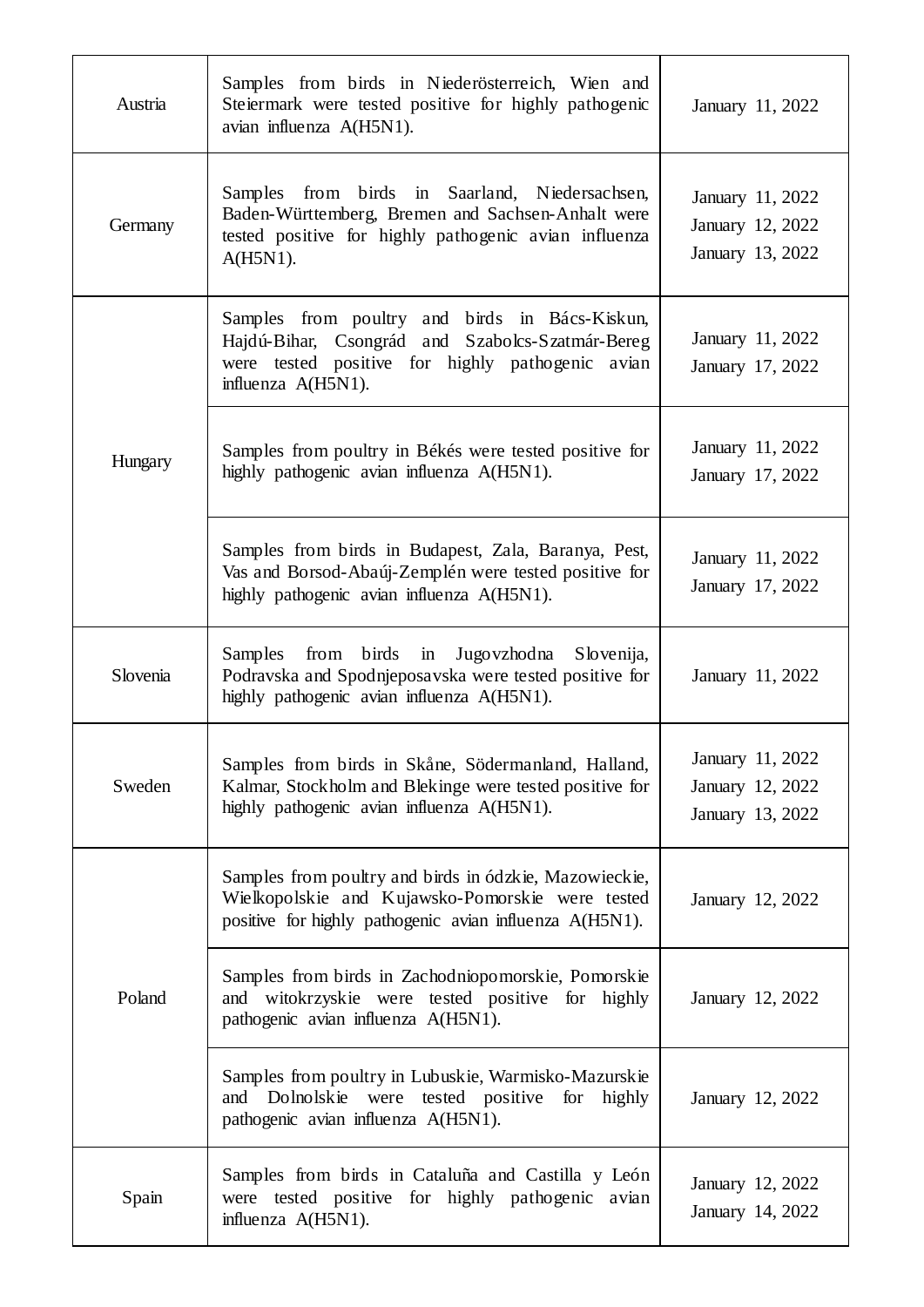| Austria  | Samples from birds in Niederösterreich, Wien and<br>Steiermark were tested positive for highly pathogenic<br>avian influenza A(H5N1).                                        | January 11, 2022                                         |
|----------|------------------------------------------------------------------------------------------------------------------------------------------------------------------------------|----------------------------------------------------------|
| Germany  | Samples from birds in Saarland, Niedersachsen,<br>Baden-Württemberg, Bremen and Sachsen-Anhalt were<br>tested positive for highly pathogenic avian influenza<br>$A(H5N1)$ .  | January 11, 2022<br>January 12, 2022<br>January 13, 2022 |
|          | Samples from poultry and birds in Bács-Kiskun,<br>Hajdú-Bihar, Csongrád and Szabolcs-Szatmár-Bereg<br>were tested positive for highly pathogenic avian<br>influenza A(H5N1). | January 11, 2022<br>January 17, 2022                     |
| Hungary  | Samples from poultry in Békés were tested positive for<br>highly pathogenic avian influenza A(H5N1).                                                                         | January 11, 2022<br>January 17, 2022                     |
|          | Samples from birds in Budapest, Zala, Baranya, Pest,<br>Vas and Borsod-Abaúj-Zemplén were tested positive for<br>highly pathogenic avian influenza A(H5N1).                  | January 11, 2022<br>January 17, 2022                     |
| Slovenia | Samples<br>from birds in Jugovzhodna<br>Slovenija,<br>Podravska and Spodnjeposavska were tested positive for<br>highly pathogenic avian influenza A(H5N1).                   | January 11, 2022                                         |
| Sweden   | Samples from birds in Skåne, Södermanland, Halland,<br>Kalmar, Stockholm and Blekinge were tested positive for<br>highly pathogenic avian influenza A(H5N1).                 | January 11, 2022<br>January 12, 2022<br>January 13, 2022 |
|          | Samples from poultry and birds in ódzkie, Mazowieckie,<br>Wielkopolskie and Kujawsko-Pomorskie were tested<br>positive for highly pathogenic avian influenza A(H5N1).        | January 12, 2022                                         |
| Poland   | Samples from birds in Zachodniopomorskie, Pomorskie<br>and witokrzyskie were tested positive for highly<br>pathogenic avian influenza A(H5N1).                               | January 12, 2022                                         |
|          | Samples from poultry in Lubuskie, Warmisko-Mazurskie<br>and Dolnolskie were tested positive for highly<br>pathogenic avian influenza A(H5N1).                                | January 12, 2022                                         |
| Spain    | Samples from birds in Cataluña and Castilla y León<br>were tested positive for highly pathogenic avian<br>influenza A(H5N1).                                                 | January 12, 2022<br>January 14, 2022                     |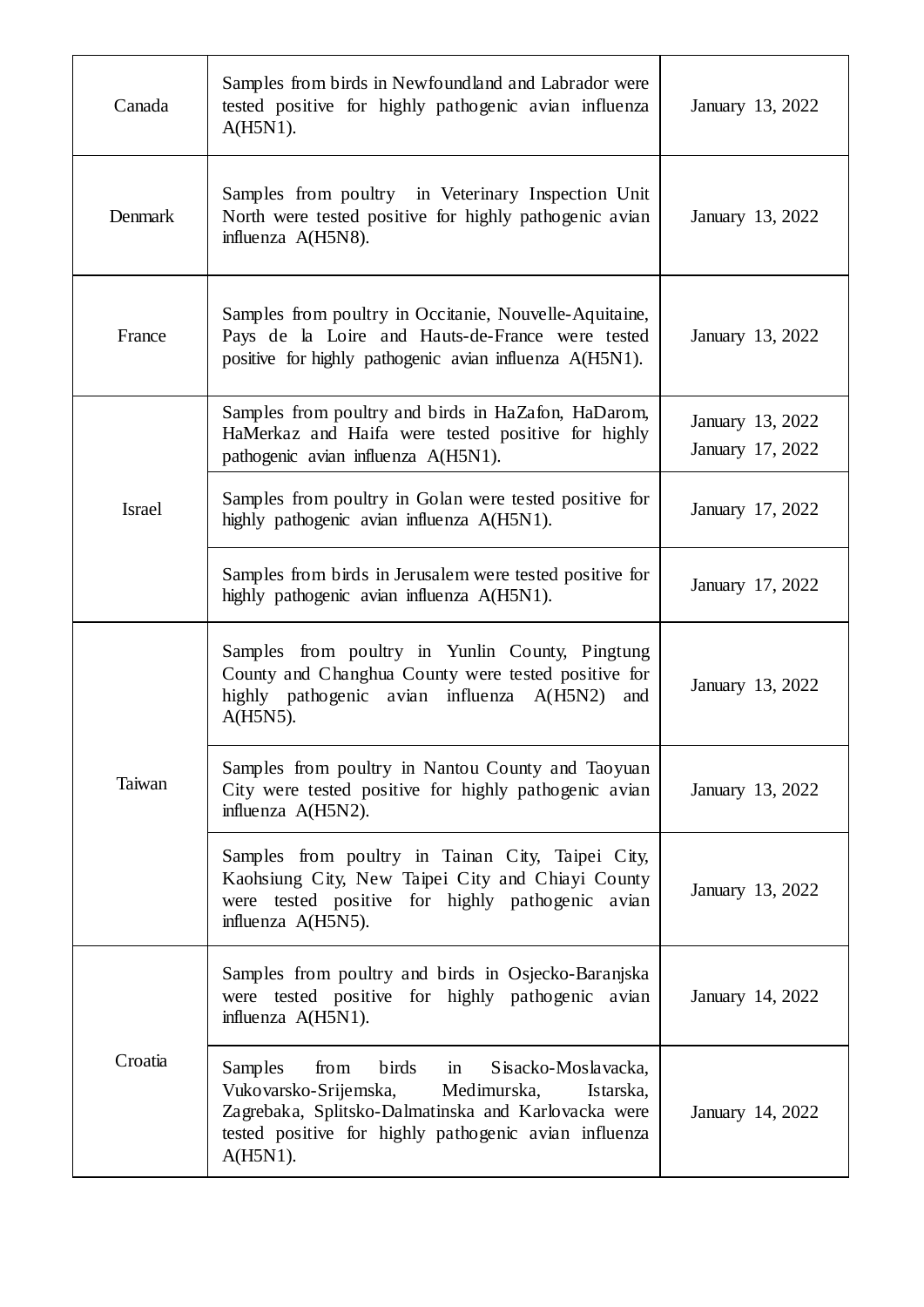| Canada        | Samples from birds in Newfoundland and Labrador were<br>tested positive for highly pathogenic avian influenza<br>$A(H5N1)$ .                                                                                                              | January 13, 2022                     |
|---------------|-------------------------------------------------------------------------------------------------------------------------------------------------------------------------------------------------------------------------------------------|--------------------------------------|
| Denmark       | Samples from poultry in Veterinary Inspection Unit<br>North were tested positive for highly pathogenic avian<br>influenza A(H5N8).                                                                                                        | January 13, 2022                     |
| France        | Samples from poultry in Occitanie, Nouvelle-Aquitaine,<br>Pays de la Loire and Hauts-de-France were tested<br>positive for highly pathogenic avian influenza A(H5N1).                                                                     | January 13, 2022                     |
|               | Samples from poultry and birds in HaZafon, HaDarom,<br>HaMerkaz and Haifa were tested positive for highly<br>pathogenic avian influenza A(H5N1).                                                                                          | January 13, 2022<br>January 17, 2022 |
| <b>Israel</b> | Samples from poultry in Golan were tested positive for<br>highly pathogenic avian influenza A(H5N1).                                                                                                                                      | January 17, 2022                     |
|               | Samples from birds in Jerusalem were tested positive for<br>highly pathogenic avian influenza A(H5N1).                                                                                                                                    | January 17, 2022                     |
|               | Samples from poultry in Yunlin County, Pingtung<br>County and Changhua County were tested positive for<br>highly pathogenic avian influenza A(H5N2)<br>and<br>$A(H5N5)$ .                                                                 | January 13, 2022                     |
| Taiwan        | Samples from poultry in Nantou County and Taoyuan<br>City were tested positive for highly pathogenic avian<br>influenza A(H5N2).                                                                                                          | January 13, 2022                     |
|               | Samples from poultry in Tainan City, Taipei City,<br>Kaohsiung City, New Taipei City and Chiayi County<br>were tested positive for highly pathogenic avian<br>influenza A(H5N5).                                                          | January 13, 2022                     |
|               | Samples from poultry and birds in Osjecko-Baranjska<br>were tested positive for highly pathogenic avian<br>influenza A(H5N1).                                                                                                             | January 14, 2022                     |
| Croatia       | birds<br>Sisacko-Moslavacka,<br>Samples<br>from<br>in<br>Vukovarsko-Srijemska,<br>Medimurska,<br>Istarska,<br>Zagrebaka, Splitsko-Dalmatinska and Karlovacka were<br>tested positive for highly pathogenic avian influenza<br>$A(H5N1)$ . | January 14, 2022                     |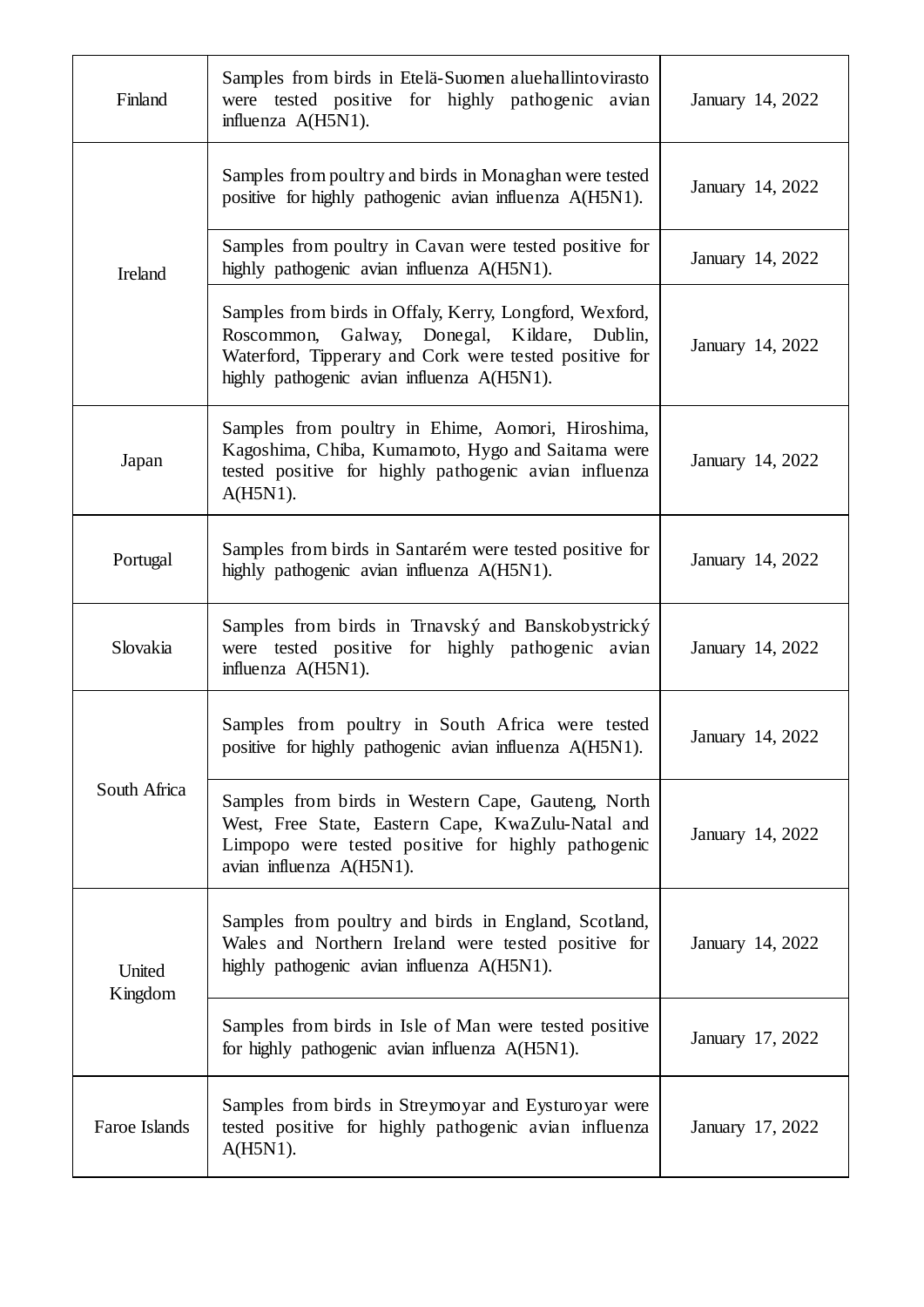| Finland           | Samples from birds in Etelä-Suomen aluehallintovirasto<br>were tested positive for highly pathogenic avian<br>influenza A(H5N1).                                                                                   | January 14, 2022 |
|-------------------|--------------------------------------------------------------------------------------------------------------------------------------------------------------------------------------------------------------------|------------------|
|                   | Samples from poultry and birds in Monaghan were tested<br>positive for highly pathogenic avian influenza A(H5N1).                                                                                                  | January 14, 2022 |
| Ireland           | Samples from poultry in Cavan were tested positive for<br>highly pathogenic avian influenza A(H5N1).                                                                                                               | January 14, 2022 |
|                   | Samples from birds in Offaly, Kerry, Longford, Wexford,<br>Roscommon, Galway, Donegal,<br>Kildare, Dublin,<br>Waterford, Tipperary and Cork were tested positive for<br>highly pathogenic avian influenza A(H5N1). | January 14, 2022 |
| Japan             | Samples from poultry in Ehime, Aomori, Hiroshima,<br>Kagoshima, Chiba, Kumamoto, Hygo and Saitama were<br>tested positive for highly pathogenic avian influenza<br>$A(H5N1)$ .                                     | January 14, 2022 |
| Portugal          | Samples from birds in Santarém were tested positive for<br>highly pathogenic avian influenza A(H5N1).                                                                                                              | January 14, 2022 |
| Slovakia          | Samples from birds in Trnavský and Banskobystrický<br>were tested positive for highly pathogenic avian<br>influenza A(H5N1).                                                                                       | January 14, 2022 |
|                   | Samples from poultry in South Africa were tested<br>positive for highly pathogenic avian influenza A(H5N1).                                                                                                        | January 14, 2022 |
| South Africa      | Samples from birds in Western Cape, Gauteng, North<br>West, Free State, Eastern Cape, KwaZulu-Natal and<br>Limpopo were tested positive for highly pathogenic<br>avian influenza A(H5N1).                          | January 14, 2022 |
| United<br>Kingdom | Samples from poultry and birds in England, Scotland,<br>Wales and Northern Ireland were tested positive for<br>highly pathogenic avian influenza A(H5N1).                                                          | January 14, 2022 |
|                   | Samples from birds in Isle of Man were tested positive<br>for highly pathogenic avian influenza A(H5N1).                                                                                                           | January 17, 2022 |
| Faroe Islands     | Samples from birds in Streymoyar and Eysturoyar were<br>tested positive for highly pathogenic avian influenza<br>$A(H5N1)$ .                                                                                       | January 17, 2022 |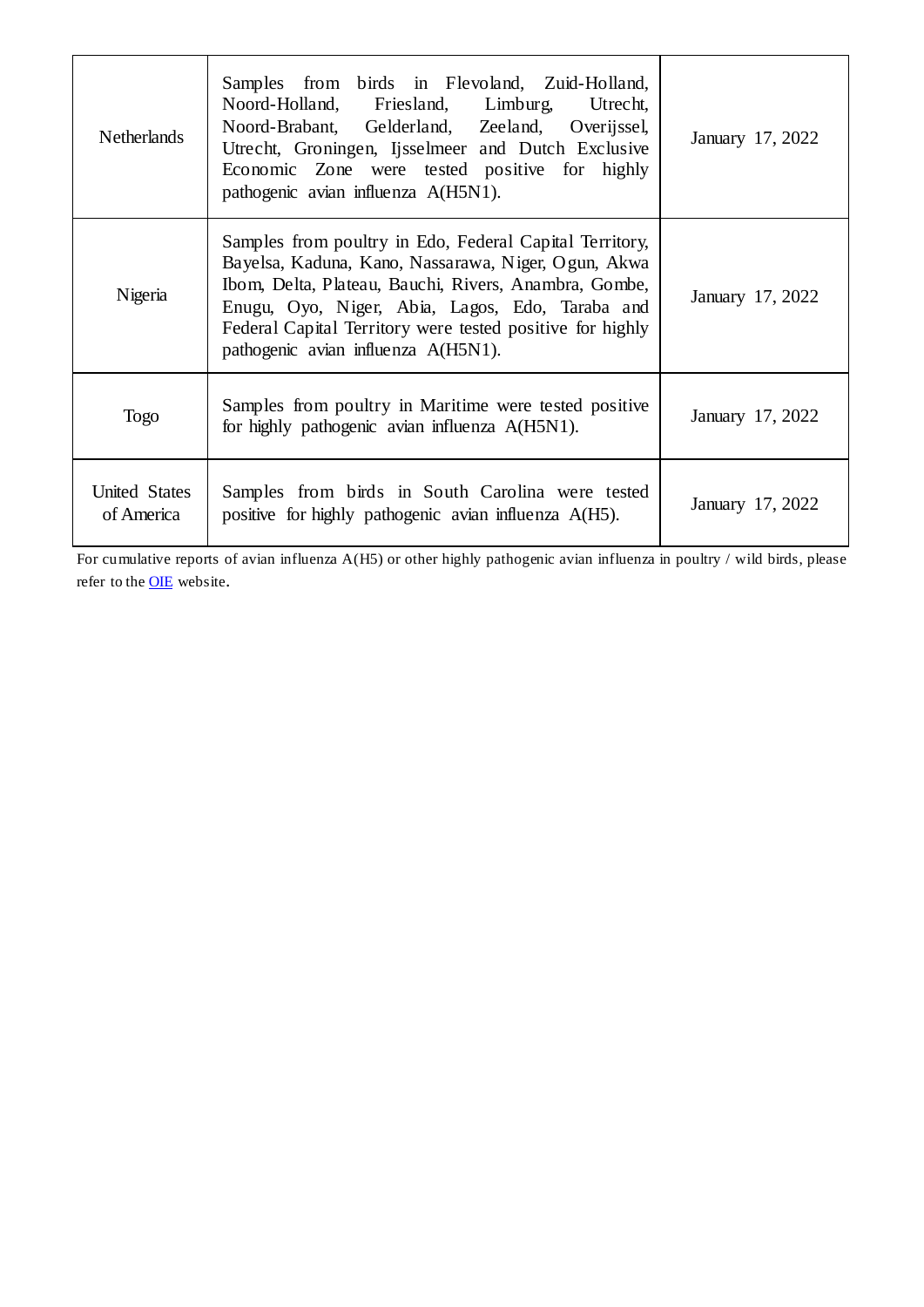| <b>Netherlands</b>          | Samples from birds in Flevoland, Zuid-Holland,<br>Noord-Holland, Friesland, Limburg, Utrecht,<br>Noord-Brabant, Gelderland, Zeeland, Overijssel,<br>Utrecht, Groningen, Ijsselmeer and Dutch Exclusive<br>Economic Zone were tested positive for highly<br>pathogenic avian influenza A(H5N1).                                 | January 17, 2022 |
|-----------------------------|--------------------------------------------------------------------------------------------------------------------------------------------------------------------------------------------------------------------------------------------------------------------------------------------------------------------------------|------------------|
| Nigeria                     | Samples from poultry in Edo, Federal Capital Territory,<br>Bayelsa, Kaduna, Kano, Nassarawa, Niger, Ogun, Akwa<br>Ibom, Delta, Plateau, Bauchi, Rivers, Anambra, Gombe,<br>Enugu, Oyo, Niger, Abia, Lagos, Edo, Taraba and<br>Federal Capital Territory were tested positive for highly<br>pathogenic avian influenza A(H5N1). | January 17, 2022 |
| <b>Togo</b>                 | Samples from poultry in Maritime were tested positive<br>for highly pathogenic avian influenza A(H5N1).                                                                                                                                                                                                                        | January 17, 2022 |
| United States<br>of America | Samples from birds in South Carolina were tested<br>positive for highly pathogenic avian influenza A(H5).                                                                                                                                                                                                                      | January 17, 2022 |

For cumulative reports of avian influenza A(H5) or other highly pathogenic avian influenza in poultry / wild birds, please refer to the **OIE** website.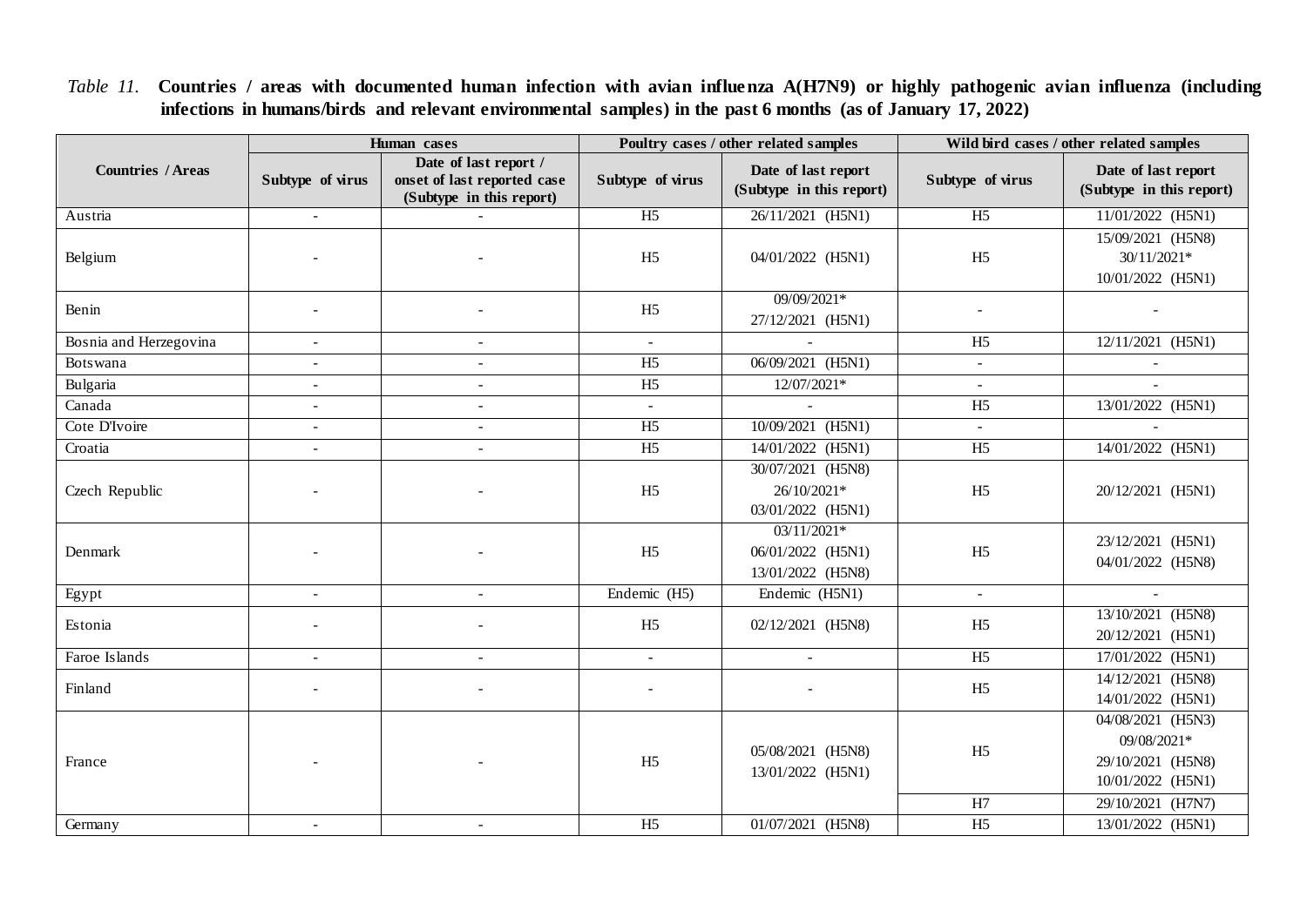*Table 11.* **Countries / areas with documented human infection with avian influenza A(H7N9) or highly pathogenic avian influenza (including infections in humans/birds and relevant environmental samples) in the past 6 months (as of January 17, 2022)**

|                          | Human cases              |                                                                                  | Poultry cases / other related samples |                                                         | Wild bird cases / other related samples |                                                                            |
|--------------------------|--------------------------|----------------------------------------------------------------------------------|---------------------------------------|---------------------------------------------------------|-----------------------------------------|----------------------------------------------------------------------------|
| <b>Countries / Areas</b> | Subtype of virus         | Date of last report /<br>onset of last reported case<br>(Subtype in this report) | Subtype of virus                      | Date of last report<br>(Subtype in this report)         | Subtype of virus                        | Date of last report<br>(Subtype in this report)                            |
| Austria                  | $\overline{\phantom{a}}$ |                                                                                  | H <sub>5</sub>                        | 26/11/2021 (H5N1)                                       | H <sub>5</sub>                          | 11/01/2022 (H5N1)                                                          |
| Belgium                  |                          |                                                                                  | H <sub>5</sub>                        | 04/01/2022 (H5N1)                                       | H <sub>5</sub>                          | 15/09/2021 (H5N8)<br>30/11/2021*<br>10/01/2022 (H5N1)                      |
| Benin                    |                          |                                                                                  | H <sub>5</sub>                        | $09/09/2021*$<br>27/12/2021 (H5N1)                      |                                         |                                                                            |
| Bosnia and Herzegovina   | $\overline{a}$           |                                                                                  | $\omega$                              | $\sim$                                                  | H <sub>5</sub>                          | 12/11/2021 (H5N1)                                                          |
| <b>Botswana</b>          | $\sim$                   |                                                                                  | $\overline{H5}$                       | 06/09/2021 (H5N1)                                       | $\sim$                                  |                                                                            |
| Bulgaria                 | ÷.                       |                                                                                  | H <sub>5</sub>                        | 12/07/2021*                                             |                                         |                                                                            |
| Canada                   | $\overline{a}$           |                                                                                  | $\mathbf{r}$                          |                                                         | H <sub>5</sub>                          | 13/01/2022 (H5N1)                                                          |
| Cote D'Ivoire            | $\overline{a}$           |                                                                                  | $\overline{H5}$                       | 10/09/2021 (H5N1)                                       | $\sim$                                  |                                                                            |
| Croatia                  | $\blacksquare$           |                                                                                  | H <sub>5</sub>                        | 14/01/2022 (H5N1)                                       | H <sub>5</sub>                          | 14/01/2022 (H5N1)                                                          |
| Czech Republic           |                          |                                                                                  | H <sub>5</sub>                        | 30/07/2021 (H5N8)<br>26/10/2021*<br>03/01/2022 (H5N1)   | H <sub>5</sub>                          | 20/12/2021 (H5N1)                                                          |
| Denmark                  |                          |                                                                                  | H <sub>5</sub>                        | $03/11/2021*$<br>06/01/2022 (H5N1)<br>13/01/2022 (H5N8) | H <sub>5</sub>                          | 23/12/2021 (H5N1)<br>04/01/2022 (H5N8)                                     |
| Egypt                    |                          |                                                                                  | Endemic (H5)                          | Endemic (H5N1)                                          | $\blacksquare$                          |                                                                            |
| Estonia                  |                          |                                                                                  | H <sub>5</sub>                        | 02/12/2021 (H5N8)                                       | H <sub>5</sub>                          | 13/10/2021 (H5N8)<br>20/12/2021 (H5N1)                                     |
| Faroe Islands            | $\blacksquare$           |                                                                                  | $\blacksquare$                        | $\mathbf{r}$                                            | H <sub>5</sub>                          | 17/01/2022 (H5N1)                                                          |
| Finland                  |                          |                                                                                  |                                       |                                                         | H <sub>5</sub>                          | 14/12/2021 (H5N8)<br>14/01/2022 (H5N1)                                     |
| France                   |                          |                                                                                  | H <sub>5</sub>                        | 05/08/2021 (H5N8)<br>13/01/2022 (H5N1)                  | H <sub>5</sub>                          | 04/08/2021 (H5N3)<br>09/08/2021*<br>29/10/2021 (H5N8)<br>10/01/2022 (H5N1) |
|                          |                          |                                                                                  |                                       |                                                         | H7                                      | 29/10/2021 (H7N7)                                                          |
| Germany                  | $\overline{a}$           |                                                                                  | H <sub>5</sub>                        | 01/07/2021 (H5N8)                                       | H <sub>5</sub>                          | 13/01/2022 (H5N1)                                                          |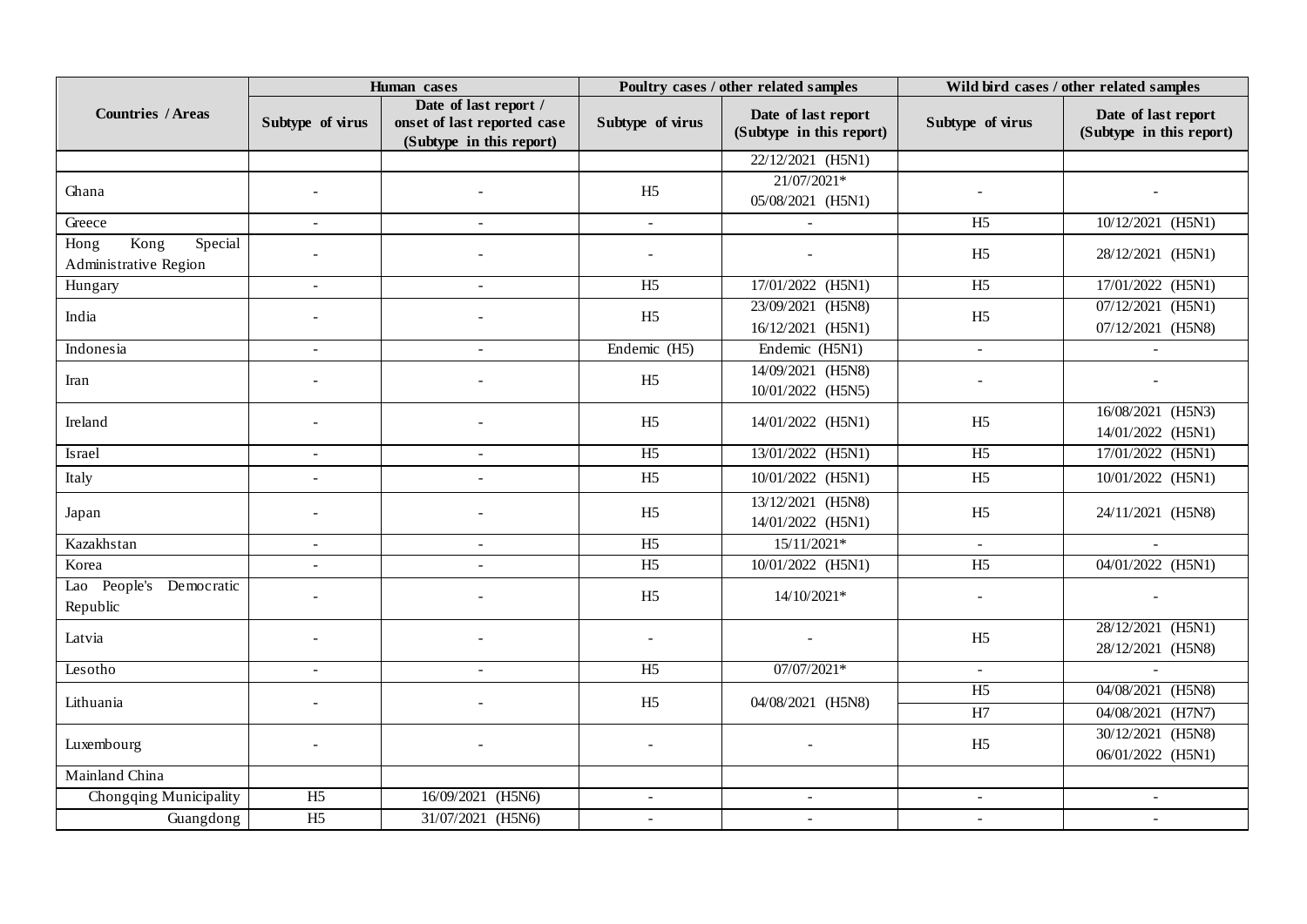|                                                  |                  | Human cases<br>Poultry cases / other related samples                             |                           |                                                 |                  | Wild bird cases / other related samples         |
|--------------------------------------------------|------------------|----------------------------------------------------------------------------------|---------------------------|-------------------------------------------------|------------------|-------------------------------------------------|
| <b>Countries / Areas</b>                         | Subtype of virus | Date of last report /<br>onset of last reported case<br>(Subtype in this report) | Subtype of virus          | Date of last report<br>(Subtype in this report) | Subtype of virus | Date of last report<br>(Subtype in this report) |
|                                                  |                  |                                                                                  |                           | 22/12/2021 (H5N1)                               |                  |                                                 |
| Ghana                                            |                  |                                                                                  | H <sub>5</sub>            | $21/07/2021*$<br>05/08/2021 (H5N1)              |                  |                                                 |
| Greece                                           | $\mathbf{r}$     |                                                                                  | $\mathbb{Z}^{\mathbb{Z}}$ |                                                 | H <sub>5</sub>   | 10/12/2021 (H5N1)                               |
| Kong<br>Special<br>Hong<br>Administrative Region |                  |                                                                                  |                           |                                                 | H <sub>5</sub>   | 28/12/2021 (H5N1)                               |
| Hungary                                          |                  |                                                                                  | H <sub>5</sub>            | 17/01/2022 (H5N1)                               | H <sub>5</sub>   | 17/01/2022 (H5N1)                               |
| India                                            |                  |                                                                                  | H <sub>5</sub>            | 23/09/2021 (H5N8)<br>16/12/2021 (H5N1)          | H <sub>5</sub>   | 07/12/2021 (H5N1)<br>07/12/2021 (H5N8)          |
| Indonesia                                        | $\overline{a}$   |                                                                                  | Endemic (H5)              | Endemic (H5N1)                                  | $\mathbf{r}$     |                                                 |
| Iran                                             |                  |                                                                                  | H <sub>5</sub>            | 14/09/2021 (H5N8)<br>10/01/2022 (H5N5)          |                  |                                                 |
| Ireland                                          |                  |                                                                                  | H <sub>5</sub>            | 14/01/2022 (H5N1)                               | H <sub>5</sub>   | 16/08/2021 (H5N3)<br>14/01/2022 (H5N1)          |
| Israel                                           | $\blacksquare$   | $\blacksquare$                                                                   | H <sub>5</sub>            | 13/01/2022 (H5N1)                               | H <sub>5</sub>   | 17/01/2022 (H5N1)                               |
| Italy                                            |                  |                                                                                  | H <sub>5</sub>            | 10/01/2022 (H5N1)                               | H <sub>5</sub>   | 10/01/2022 (H5N1)                               |
| Japan                                            |                  |                                                                                  | H <sub>5</sub>            | 13/12/2021 (H5N8)<br>14/01/2022 (H5N1)          | H <sub>5</sub>   | 24/11/2021 (H5N8)                               |
| Kazakhstan                                       | $\sim$           |                                                                                  | H <sub>5</sub>            | $15/11/2021*$                                   | $\sim$           | $\sim$                                          |
| Korea                                            |                  |                                                                                  | H <sub>5</sub>            | 10/01/2022 (H5N1)                               | H <sub>5</sub>   | 04/01/2022 (H5N1)                               |
| Lao People's Democratic<br>Republic              |                  |                                                                                  | H <sub>5</sub>            | 14/10/2021*                                     |                  |                                                 |
| Latvia                                           |                  |                                                                                  | $\overline{a}$            |                                                 | H <sub>5</sub>   | 28/12/2021 (H5N1)<br>28/12/2021 (H5N8)          |
| Lesotho                                          |                  |                                                                                  | $\overline{H5}$           | $07/07/2021*$                                   | $\sim$           |                                                 |
| Lithuania                                        |                  |                                                                                  | H <sub>5</sub>            | 04/08/2021 (H5N8)                               | H <sub>5</sub>   | 04/08/2021 (H5N8)                               |
|                                                  |                  |                                                                                  |                           |                                                 | H7               | 04/08/2021 (H7N7)                               |
| Luxembourg                                       |                  |                                                                                  | $\overline{a}$            |                                                 | H <sub>5</sub>   | 30/12/2021 (H5N8)<br>06/01/2022 (H5N1)          |
| Mainland China                                   |                  |                                                                                  |                           |                                                 |                  |                                                 |
| Chongqing Municipality                           | $\overline{H5}$  | (H5N6)<br>16/09/2021                                                             | $\blacksquare$            | $\blacksquare$                                  | $\sim$           | $\mathbf{r}$                                    |
| Guangdong                                        | H <sub>5</sub>   | 31/07/2021 (H5N6)                                                                |                           | $\blacksquare$                                  |                  |                                                 |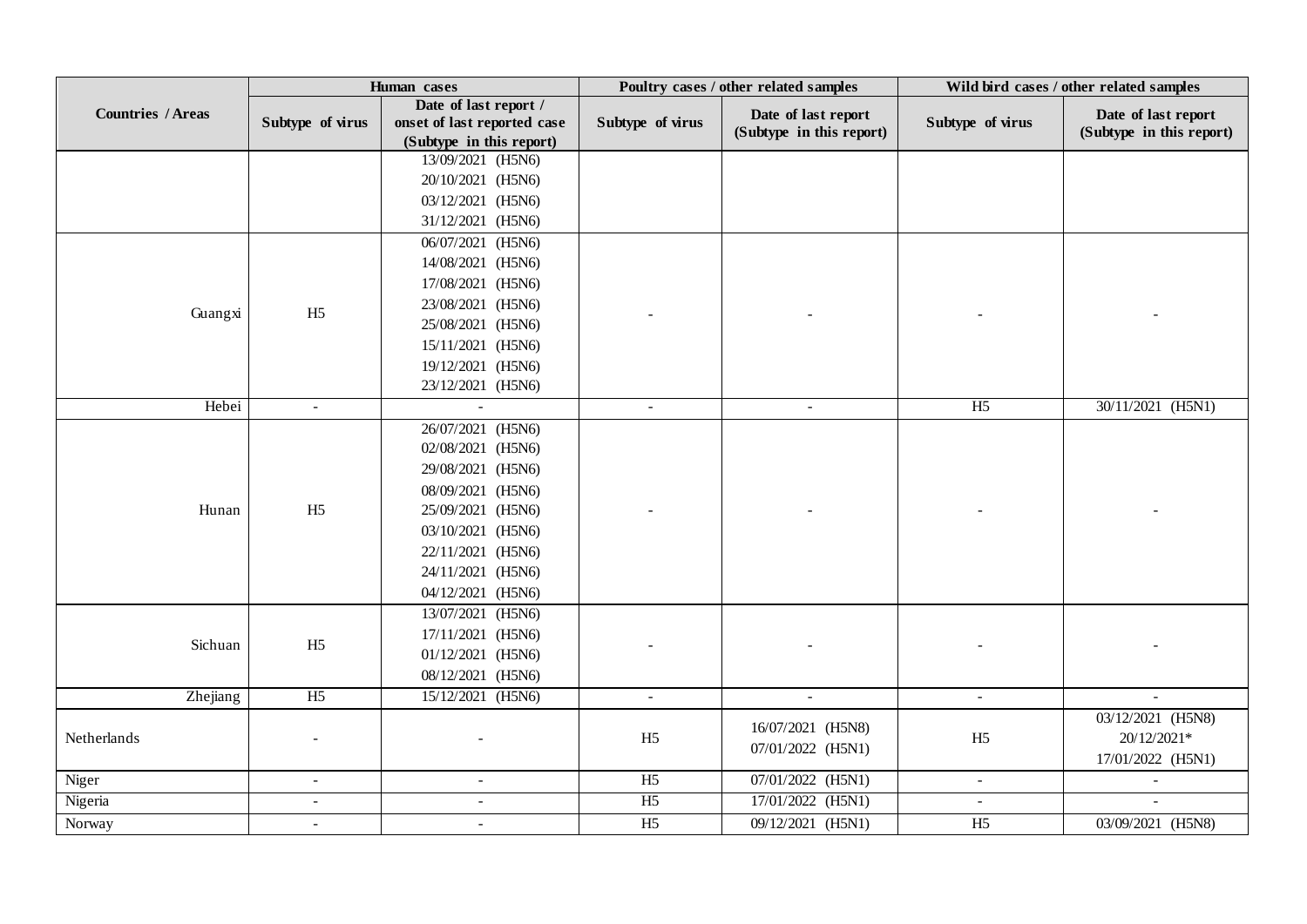|                          |                  | Human cases                 | Poultry cases / other related samples |                          | Wild bird cases / other related samples |                          |
|--------------------------|------------------|-----------------------------|---------------------------------------|--------------------------|-----------------------------------------|--------------------------|
| <b>Countries / Areas</b> |                  | Date of last report /       |                                       | Date of last report      |                                         | Date of last report      |
|                          | Subtype of virus | onset of last reported case | Subtype of virus                      | (Subtype in this report) | Subtype of virus                        | (Subtype in this report) |
|                          |                  | (Subtype in this report)    |                                       |                          |                                         |                          |
|                          |                  | 13/09/2021 (H5N6)           |                                       |                          |                                         |                          |
|                          |                  | 20/10/2021 (H5N6)           |                                       |                          |                                         |                          |
|                          |                  | 03/12/2021 (H5N6)           |                                       |                          |                                         |                          |
|                          |                  | 31/12/2021 (H5N6)           |                                       |                          |                                         |                          |
|                          |                  | 06/07/2021 (H5N6)           |                                       |                          |                                         |                          |
|                          |                  | 14/08/2021 (H5N6)           |                                       |                          |                                         |                          |
|                          |                  | 17/08/2021 (H5N6)           |                                       |                          |                                         |                          |
| Guangxi                  | H <sub>5</sub>   | 23/08/2021 (H5N6)           |                                       |                          |                                         |                          |
|                          |                  | 25/08/2021 (H5N6)           |                                       |                          |                                         |                          |
|                          |                  | 15/11/2021 (H5N6)           |                                       |                          |                                         |                          |
|                          |                  | 19/12/2021 (H5N6)           |                                       |                          |                                         |                          |
|                          |                  | 23/12/2021 (H5N6)           |                                       |                          |                                         |                          |
| Hebei                    | $\blacksquare$   |                             | $\blacksquare$                        | $\blacksquare$           | H <sub>5</sub>                          | 30/11/2021 (H5N1)        |
|                          |                  | 26/07/2021 (H5N6)           |                                       |                          |                                         |                          |
|                          |                  | 02/08/2021 (H5N6)           |                                       |                          |                                         |                          |
|                          |                  | 29/08/2021 (H5N6)           |                                       |                          |                                         |                          |
|                          |                  | 08/09/2021 (H5N6)           |                                       |                          |                                         |                          |
| Hunan                    | H <sub>5</sub>   | 25/09/2021 (H5N6)           |                                       |                          |                                         |                          |
|                          |                  | 03/10/2021 (H5N6)           |                                       |                          |                                         |                          |
|                          |                  | 22/11/2021 (H5N6)           |                                       |                          |                                         |                          |
|                          |                  | 24/11/2021 (H5N6)           |                                       |                          |                                         |                          |
|                          |                  | 04/12/2021 (H5N6)           |                                       |                          |                                         |                          |
|                          |                  | 13/07/2021 (H5N6)           |                                       |                          |                                         |                          |
|                          |                  | 17/11/2021 (H5N6)           |                                       |                          |                                         |                          |
| Sichuan                  | H <sub>5</sub>   | 01/12/2021 (H5N6)           |                                       |                          |                                         |                          |
|                          |                  | 08/12/2021 (H5N6)           |                                       |                          |                                         |                          |
| Zhejiang                 | $\overline{H5}$  | 15/12/2021 (H5N6)           | $\omega$                              | $\blacksquare$           | $\blacksquare$                          | $\overline{a}$           |
|                          |                  |                             |                                       |                          |                                         | 03/12/2021 (H5N8)        |
| Netherlands              |                  |                             | H <sub>5</sub>                        | 16/07/2021 (H5N8)        | H <sub>5</sub>                          | 20/12/2021*              |
|                          |                  |                             |                                       |                          | 07/01/2022 (H5N1)                       |                          |
| Niger                    | $\sim$           | $\sim$                      | H <sub>5</sub>                        | 07/01/2022 (H5N1)        | $\blacksquare$                          | $\overline{a}$           |
| Nigeria                  | $\sim$           | $\blacksquare$              | H <sub>5</sub>                        | 17/01/2022 (H5N1)        | $\blacksquare$                          | $\overline{a}$           |
| Norway                   |                  | $\sim$                      | H <sub>5</sub>                        | 09/12/2021 (H5N1)        | H <sub>5</sub>                          | 03/09/2021 (H5N8)        |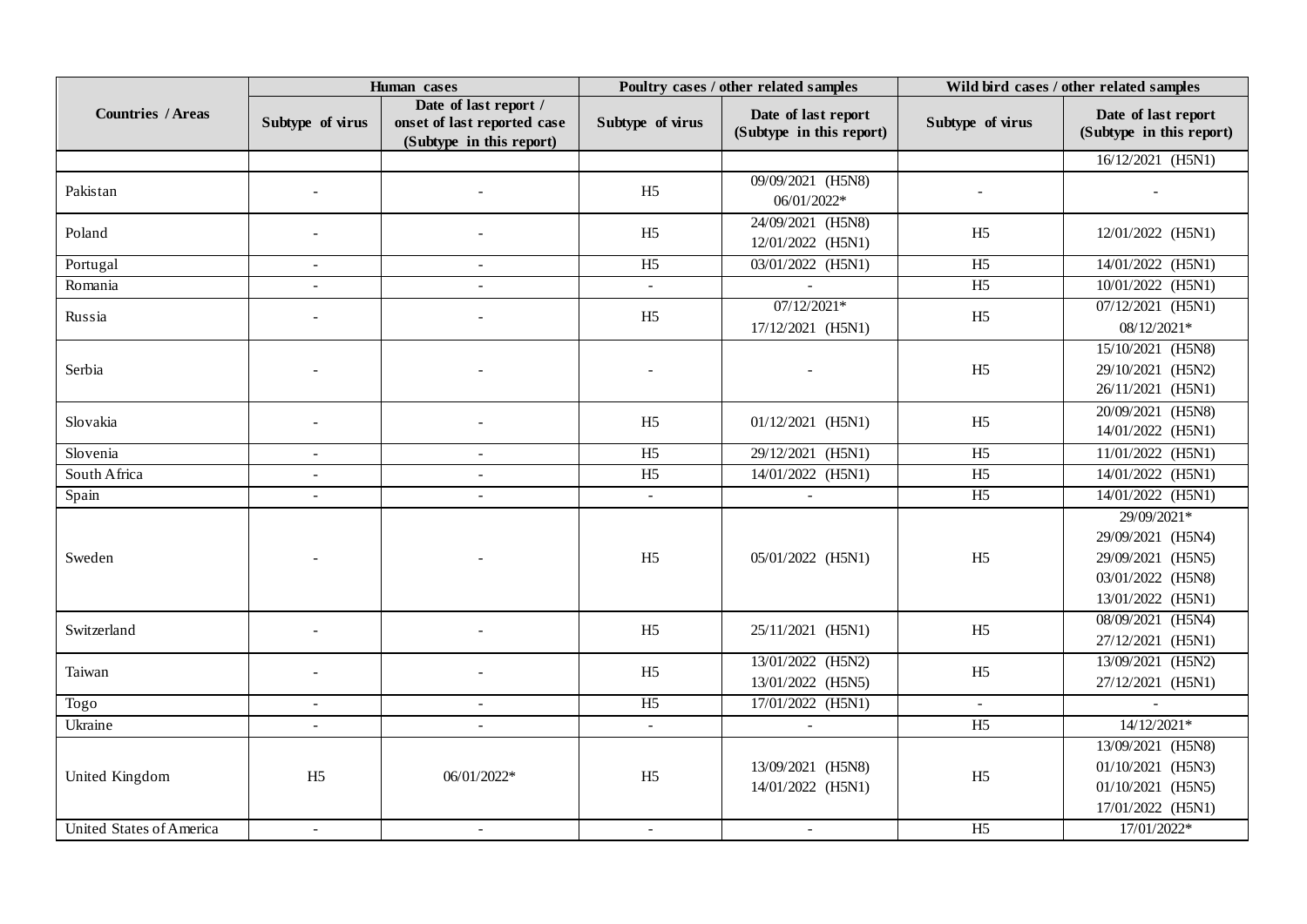|                          |                  | Poultry cases / other related samples<br>Human cases                             |                  |                                                 |                  | Wild bird cases / other related samples                                                         |
|--------------------------|------------------|----------------------------------------------------------------------------------|------------------|-------------------------------------------------|------------------|-------------------------------------------------------------------------------------------------|
| <b>Countries / Areas</b> | Subtype of virus | Date of last report /<br>onset of last reported case<br>(Subtype in this report) | Subtype of virus | Date of last report<br>(Subtype in this report) | Subtype of virus | Date of last report<br>(Subtype in this report)                                                 |
|                          |                  |                                                                                  |                  |                                                 |                  | 16/12/2021 (H5N1)                                                                               |
| Pakistan                 |                  |                                                                                  | H <sub>5</sub>   | 09/09/2021 (H5N8)<br>06/01/2022*                |                  |                                                                                                 |
| Poland                   |                  |                                                                                  | H <sub>5</sub>   | 24/09/2021 (H5N8)<br>12/01/2022 (H5N1)          | H <sub>5</sub>   | 12/01/2022 (H5N1)                                                                               |
| Portugal                 | $\sim$           |                                                                                  | H <sub>5</sub>   | 03/01/2022 (H5N1)                               | H <sub>5</sub>   | 14/01/2022 (H5N1)                                                                               |
| Romania                  |                  |                                                                                  | $\equiv$         | $\mathbf{r}$                                    | H <sub>5</sub>   | 10/01/2022 (H5N1)                                                                               |
| Russia                   |                  |                                                                                  | H <sub>5</sub>   | $07/12/2021*$<br>17/12/2021 (H5N1)              | H <sub>5</sub>   | 07/12/2021 (H5N1)<br>08/12/2021*                                                                |
| Serbia                   |                  |                                                                                  |                  |                                                 | H <sub>5</sub>   | 15/10/2021 (H5N8)<br>29/10/2021 (H5N2)<br>26/11/2021 (H5N1)                                     |
| Slovakia                 |                  |                                                                                  | H <sub>5</sub>   | 01/12/2021 (H5N1)                               | H <sub>5</sub>   | 20/09/2021 (H5N8)<br>14/01/2022 (H5N1)                                                          |
| Slovenia                 | $\sim$           | $\sim$                                                                           | H <sub>5</sub>   | 29/12/2021 (H5N1)                               | H <sub>5</sub>   | 11/01/2022 (H5N1)                                                                               |
| South Africa             |                  |                                                                                  | H <sub>5</sub>   | 14/01/2022 (H5N1)                               | H <sub>5</sub>   | 14/01/2022 (H5N1)                                                                               |
| Spain                    |                  |                                                                                  | $\blacksquare$   |                                                 | H <sub>5</sub>   | 14/01/2022 (H5N1)                                                                               |
| Sweden                   |                  |                                                                                  | H <sub>5</sub>   | 05/01/2022 (H5N1)                               | H <sub>5</sub>   | 29/09/2021*<br>29/09/2021 (H5N4)<br>29/09/2021 (H5N5)<br>03/01/2022 (H5N8)<br>13/01/2022 (H5N1) |
| Switzerland              |                  |                                                                                  | H <sub>5</sub>   | 25/11/2021 (H5N1)                               | H <sub>5</sub>   | 08/09/2021 (H5N4)<br>27/12/2021 (H5N1)                                                          |
| Taiwan                   |                  |                                                                                  | H <sub>5</sub>   | 13/01/2022 (H5N2)<br>13/01/2022 (H5N5)          | H <sub>5</sub>   | 13/09/2021 (H5N2)<br>27/12/2021 (H5N1)                                                          |
| Togo                     | $\blacksquare$   |                                                                                  | H <sub>5</sub>   | 17/01/2022 (H5N1)                               | $\sim$           |                                                                                                 |
| Ukraine                  |                  |                                                                                  | $\blacksquare$   |                                                 | H <sub>5</sub>   | 14/12/2021*                                                                                     |
| United Kingdom           | H <sub>5</sub>   | 06/01/2022*                                                                      | H <sub>5</sub>   | 13/09/2021 (H5N8)<br>14/01/2022 (H5N1)          | H <sub>5</sub>   | 13/09/2021 (H5N8)<br>01/10/2021 (H5N3)<br>01/10/2021 (H5N5)<br>17/01/2022 (H5N1)                |
| United States of America | $\blacksquare$   |                                                                                  | $\sim$           | $\sim$                                          | H <sub>5</sub>   | 17/01/2022*                                                                                     |